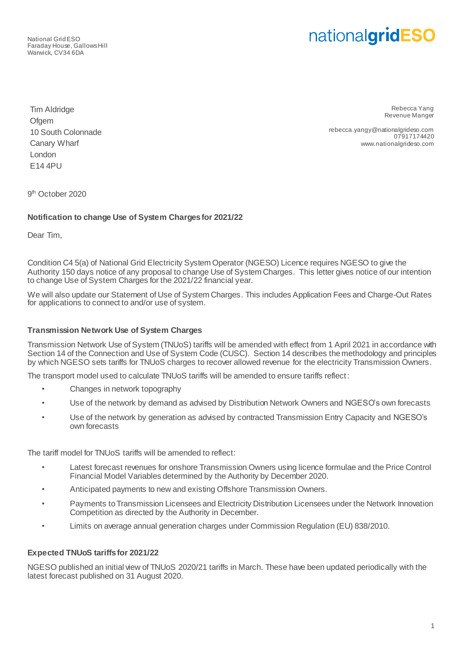National Grid ESO Faraday House, Gallows Hill Warwick, CV34 6DA

# nationalgridESO

Tim Aldridge **Ofgem** 10 South Colonnade Canary Wharf London E14 4PU

Rebecca Yang Revenue Manger

rebecca.yangy@nationalgrideso.com 07917174420 www.nationalgrideso.com

9<sup>th</sup> October 2020

## **Notification to change Use of System Charges for 2021/22**

Dear Tim,

Condition C4 5(a) of National Grid Electricity System Operator (NGESO) Licence requires NGESO to give the Authority 150 days notice of any proposal to change Use of System Charges. This letter gives notice of our intention to change Use of System Charges for the 2021/22 financial year.

We will also update our Statement of Use of System Charges. This includes Application Fees and Charge-Out Rates for applications to connect to and/or use of system.

### **Transmission Network Use of System Charges**

Transmission Network Use of System (TNUoS) tariffs will be amended with effect from 1 April 2021 in accordance with Section 14 of the Connection and Use of System Code (CUSC). Section 14 describes the methodology and principles by which NGESO sets tariffs for TNUoS charges to recover allowed revenue for the electricity Transmission Owners.

The transport model used to calculate TNUoS tariffs will be amended to ensure tariffs reflect:

- Changes in network topography
- Use of the network by demand as advised by Distribution Network Owners and NGESO's own forecasts
- Use of the network by generation as advised by contracted Transmission Entry Capacity and NGESO's own forecasts

The tariff model for TNUoS tariffs will be amended to reflect:

- Latest forecast revenues for onshore Transmission Owners using licence formulae and the Price Control Financial Model Variables determined by the Authority by December 2020.
- Anticipated payments to new and existing Offshore Transmission Owners.
- Payments to Transmission Licensees and Electricity Distribution Licensees under the Network Innovation Competition as directed by the Authority in December.
- Limits on average annual generation charges under Commission Regulation (EU) 838/2010.

#### **Expected TNUoS tariffs for 2021/22**

NGESO published an initial view of TNUoS 2020/21 tariffs in March. These have been updated periodically with the latest forecast published on 31 August 2020.